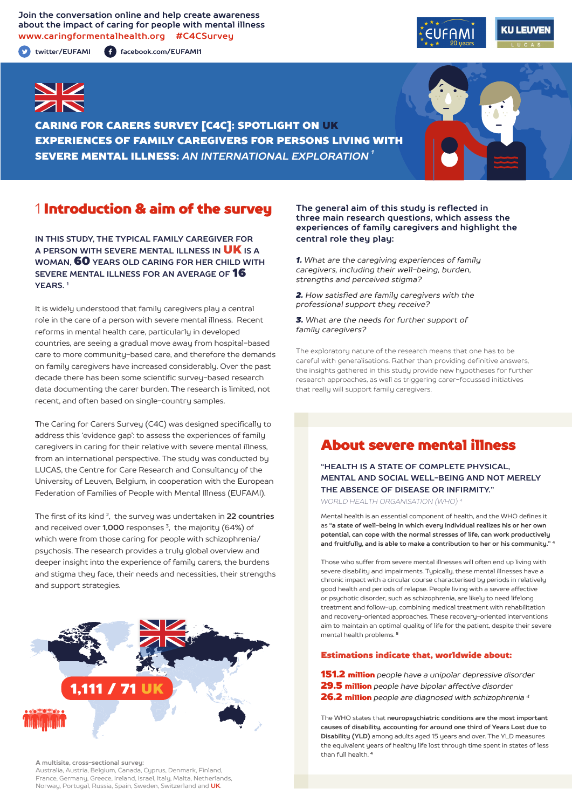**Join the conversation online and help create awareness about the impact of caring for people with mental illness www.caringformentalhealth.org #C4CSurvey**

**twitter/EUFAMI facebook.com/EUFAMI1**





CARING FOR CARERS SURVEY [C4C]: SPOTLIGHT ON UK EXPERIENCES OF FAMILY CAREGIVERS FOR PERSONS LIVING WITH SEVERE MENTAL ILLNESS: *AN INTERNATIONAL EXPLORATION 1*

## 1 Introduction & aim of the survey

**IN THIS STUDY, THE TYPICAL FAMILY CAREGIVER FOR A PERSON WITH SEVERE MENTAL ILLNESS IN** UK **IS A WOMAN,** 60 **YEARS OLD CARING FOR HER CHILD WITH SEVERE MENTAL ILLNESS FOR AN AVERAGE OF** 16 **YEARS. 1**

It is widely understood that family caregivers play a central role in the care of a person with severe mental illness. Recent reforms in mental health care, particularly in developed countries, are seeing a gradual move away from hospital-based care to more community-based care, and therefore the demands on family caregivers have increased considerably. Over the past decade there has been some scientific survey-based research data documenting the carer burden. The research is limited, not recent, and often based on single-country samples.

The Caring for Carers Survey (C4C) was designed specifically to address this 'evidence gap': to assess the experiences of family caregivers in caring for their relative with severe mental illness, from an international perspective. The study was conducted by LUCAS, the Centre for Care Research and Consultancy of the University of Leuven, Belgium, in cooperation with the European Federation of Families of People with Mental Illness (EUFAMI).

The first of its kind 2, the survey was undertaken in **22 countries** and received over **1,000** responses 3, the majority (64%) of which were from those caring for people with schizophrenia/ psychosis. The research provides a truly global overview and deeper insight into the experience of family carers, the burdens and stigma they face, their needs and necessities, their strengths and support strategies.



**A multisite, cross-sectional survey:** 

Australia, Austria, Belgium, Canada, Cyprus, Denmark, Finland, France, Germany, Greece, Ireland, Israel, Italy, Malta, Netherlands, Norway, Portugal, Russia, Spain, Sweden, Switzerland and **UK**.

#### **The general aim of this study is reflected in three main research questions, which assess the experiences of family caregivers and highlight the central role they play:**

*1. What are the caregiving experiences of family caregivers, including their well-being, burden, strengths and perceived stigma?*

*2. How satisfied are family caregivers with the professional support they receive?*

*3. What are the needs for further support of family caregivers?*

The exploratory nature of the research means that one has to be careful with generalisations. Rather than providing definitive answers, the insights gathered in this study provide new hypotheses for further research approaches, as well as triggering carer-focussed initiatives that really will support family caregivers.

## About severe mental illness

**"HEALTH IS A STATE OF COMPLETE PHYSICAL, MENTAL AND SOCIAL WELL-BEING AND NOT MERELY THE ABSENCE OF DISEASE OR INFIRMITY."**

*WORLD HEALTH ORGANISATION (WHO) 4*

Mental health is an essential component of health, and the WHO defines it as **"a state of well-being in which every individual realizes his or her own potential, can cope with the normal stresses of life, can work productively and fruitfully, and is able to make a contribution to her or his community." <sup>4</sup>**

Those who suffer from severe mental illnesses will often end up living with severe disability and impairments. Typically, these mental illnesses have a chronic impact with a circular course characterised by periods in relatively good health and periods of relapse. People living with a severe affective or psychotic disorder, such as schizophrenia, are likely to need lifelong treatment and follow-up, combining medical treatment with rehabilitation and recovery-oriented approaches. These recovery-oriented interventions aim to maintain an optimal quality of life for the patient, despite their severe mental health problems. **<sup>5</sup>**

#### Estimations indicate that, worldwide about:

151.2 million *people have a unipolar depressive disorder* 29.5 million *people have bipolar affective disorder*  26.2 million *people are diagnosed with schizophrenia 4*

The WHO states that **neuropsychiatric conditions are the most important causes of disability, accounting for around one third of Years Lost due to Disability (YLD)** among adults aged 15 years and over. The YLD measures the equivalent years of healthy life lost through time spent in states of less than full health. **<sup>4</sup>**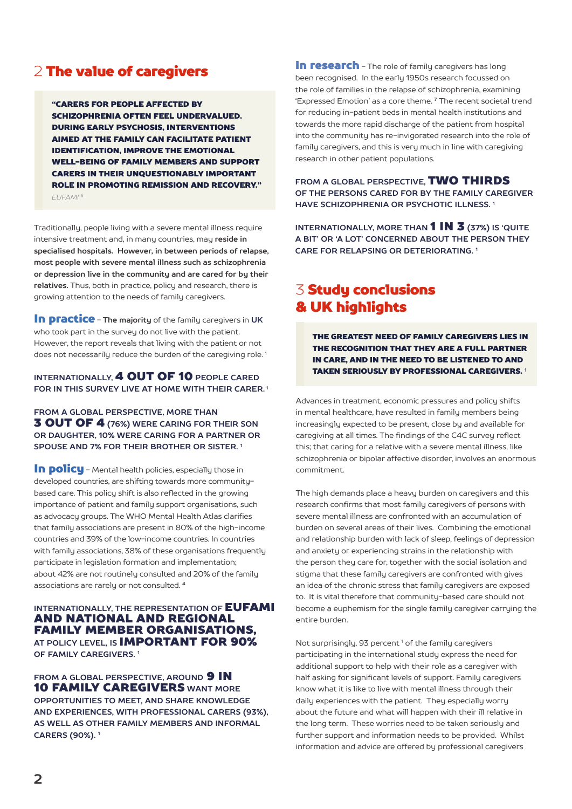## 2 The value of caregivers

"CARERS FOR PEOPLE AFFECTED BY SCHIZOPHRENIA OFTEN FEEL UNDERVALUED. DURING EARLY PSYCHOSIS, INTERVENTIONS AIMED AT THE FAMILY CAN FACILITATE PATIENT IDENTIFICATION, IMPROVE THE EMOTIONAL WELL-BEING OF FAMILY MEMBERS AND SUPPORT CARERS IN THEIR UNQUESTIONABLY IMPORTANT ROLE IN PROMOTING REMISSION AND RECOVERY." *EUFAMI 6*

Traditionally, people living with a severe mental illness require intensive treatment and, in many countries, may **reside in specialised hospitals. However, in between periods of relapse, most people with severe mental illness such as schizophrenia or depression live in the community and are cared for by their relatives.** Thus, both in practice, policy and research, there is growing attention to the needs of family caregivers.

In practice - **The majority** of the family caregivers in **UK** who took part in the survey do not live with the patient. However, the report reveals that living with the patient or not does not necessarily reduce the burden of the caregiving role.<sup>1</sup>

#### **INTERNATIONALLY,** 4 OUT OF 10 **PEOPLE CARED FOR IN THIS SURVEY LIVE AT HOME WITH THEIR CARER. 1**

**FROM A GLOBAL PERSPECTIVE, MORE THAN** 3 OUT OF 4 **(76%) WERE CARING FOR THEIR SON OR DAUGHTER, 10% WERE CARING FOR A PARTNER OR SPOUSE AND 7% FOR THEIR BROTHER OR SISTER. 1**

In policu - Mental health policies, especially those in developed countries, are shifting towards more communitybased care. This policy shift is also reflected in the growing importance of patient and family support organisations, such as advocacy groups. The WHO Mental Health Atlas clarifies that family associations are present in 80% of the high-income countries and 39% of the low-income countries. In countries with family associations, 38% of these organisations frequently participate in legislation formation and implementation; about 42% are not routinely consulted and 20% of the family associations are rarely or not consulted. **<sup>4</sup>**

#### **INTERNATIONALLY, THE REPRESENTATION OF EUFAMI** AND NATIONAL AND REGIONAL FAMILY MEMBER ORGANISATIONS, **AT POLICY LEVEL, IS** IMPORTANT FOR 90% **OF FAMILY CAREGIVERS. 1**

**FROM A GLOBAL PERSPECTIVE. AROUND 9 IN** 10 FAMILY CAREGIVERS **WANT MORE OPPORTUNITIES TO MEET, AND SHARE KNOWLEDGE AND EXPERIENCES, WITH PROFESSIONAL CARERS (93%), AS WELL AS OTHER FAMILY MEMBERS AND INFORMAL CARERS (90%). 1**

In research - The role of family caregivers has long been recognised. In the early 1950s research focussed on the role of families in the relapse of schizophrenia, examining 'Expressed Emotion' as a core theme. **7** The recent societal trend for reducing in-patient beds in mental health institutions and towards the more rapid discharge of the patient from hospital into the community has re-invigorated research into the role of family caregivers, and this is very much in line with caregiving research in other patient populations.

**FROM A GLOBAL PERSPECTIVE,** TWO THIRDS **OF THE PERSONS CARED FOR BY THE FAMILY CAREGIVER HAVE SCHIZOPHRENIA OR PSYCHOTIC ILLNESS. 1**

**INTERNATIONALLY, MORE THAN 1 IN 3 (37%) IS 'QUITE A BIT' OR 'A LOT' CONCERNED ABOUT THE PERSON THEY CARE FOR RELAPSING OR DETERIORATING. 1**

# 3 Study conclusions & UK highlights

THE GREATEST NEED OF FAMILY CAREGIVERS LIES IN THE RECOGNITION THAT THEY ARE A FULL PARTNER IN CARE, AND IN THE NEED TO BE LISTENED TO AND TAKEN SERIOUSLY BY PROFESSIONAL CAREGIVERS. <sup>1</sup>

Advances in treatment, economic pressures and policy shifts in mental healthcare, have resulted in family members being increasingly expected to be present, close by and available for caregiving at all times. The findings of the C4C survey reflect this; that caring for a relative with a severe mental illness, like schizophrenia or bipolar affective disorder, involves an enormous commitment.

The high demands place a heavy burden on caregivers and this research confirms that most family caregivers of persons with severe mental illness are confronted with an accumulation of burden on several areas of their lives. Combining the emotional and relationship burden with lack of sleep, feelings of depression and anxiety or experiencing strains in the relationship with the person they care for, together with the social isolation and stigma that these family caregivers are confronted with gives an idea of the chronic stress that family caregivers are exposed to. It is vital therefore that community-based care should not become a euphemism for the single family caregiver carrying the entire burden.

Not surprisingly, 93 percent<sup>1</sup> of the family caregivers participating in the international study express the need for additional support to help with their role as a caregiver with half asking for significant levels of support. Family caregivers know what it is like to live with mental illness through their daily experiences with the patient. They especially worry about the future and what will happen with their ill relative in the long term. These worries need to be taken seriously and further support and information needs to be provided. Whilst information and advice are offered by professional caregivers